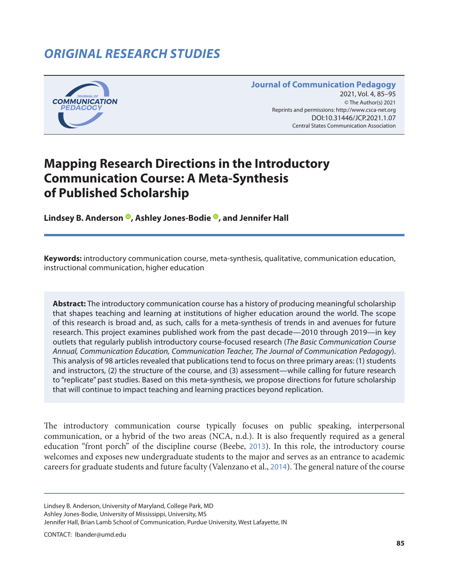# *ORIGINAL RESEARCH STUDIES*



#### **Journal of Communication Pedagogy** 2021, Vol. 4, 85-95 © The Author(s) 2021 Reprints and permissions: <http://www.csca-net.org> 2021, Vol. 4, 85–952021Reprints and permissions:<http://www.csca-net.org> DOI:10.31446/JCP.2021.1.07 Central States Communication Association Central States Communication Association

# **Mapping Research Directions in the Introductory Communication Course: A Meta-Synthesis of Published Scholarship**

**Lindsey B. Anderson [,](https://orcid.org/0000-0001-6705-735X) Ashley Jones-Bodie [,](https://orcid.org/0000-0003-0820-6911) and Jennifer Hall**

**Keywords:** introductory communication course, meta-synthesis, qualitative, communication education, instructional communication, higher education

**Abstract:** The introductory communication course has a history of producing meaningful scholarship that shapes teaching and learning at institutions of higher education around the world. The scope of this research is broad and, as such, calls for a meta-synthesis of trends in and avenues for future research. This project examines published work from the past decade—2010 through 2019—in key outlets that regularly publish introductory course-focused research (*The Basic Communication Course Annual, Communication Education, Communication Teacher, The Journal of Communication Pedagogy*). This analysis of 98 articles revealed that publications tend to focus on three primary areas: (1) students and instructors, (2) the structure of the course, and (3) assessment—while calling for future research to "replicate" past studies. Based on this meta-synthesis, we propose directions for future scholarship that will continue to impact teaching and learning practices beyond replication.

The introductory communication course typically focuses on public speaking, interpersonal communication, or a hybrid of the two areas (NCA, n.d.). It is also frequently required as a general education "front porch" of the discipline course (Beebe, [2013](#page-9-0)). In this role, the introductory course welcomes and exposes new undergraduate students to the major and serves as an entrance to academic careers for graduate students and future faculty (Valenzano et al., [2014](#page-10-0)). The general nature of the course

Lindsey B. Anderson, University of Maryland, College Park, MD Ashley Jones-Bodie, University of Mississippi, University, MS Jennifer Hall, Brian Lamb School of Communication, Purdue University, West Lafayette, IN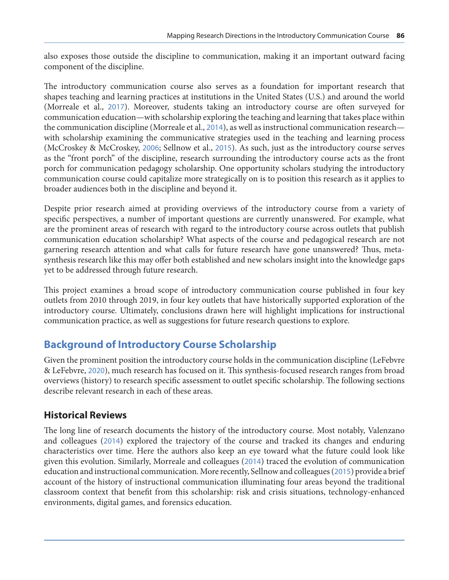also exposes those outside the discipline to communication, making it an important outward facing component of the discipline.

The introductory communication course also serves as a foundation for important research that shapes teaching and learning practices at institutions in the United States (U.S.) and around the world (Morreale et al., [2017](#page-10-0)). Moreover, students taking an introductory course are often surveyed for communication education—with scholarship exploring the teaching and learning that takes place within the communication discipline (Morreale et al., [2014](#page-9-0)), as well as instructional communication research with scholarship examining the communicative strategies used in the teaching and learning process (McCroskey & McCroskey, [2006](#page-10-0); Sellnow et al., [2015](#page-10-0)). As such, just as the introductory course serves as the "front porch" of the discipline, research surrounding the introductory course acts as the front porch for communication pedagogy scholarship. One opportunity scholars studying the introductory communication course could capitalize more strategically on is to position this research as it applies to broader audiences both in the discipline and beyond it.

Despite prior research aimed at providing overviews of the introductory course from a variety of specific perspectives, a number of important questions are currently unanswered. For example, what are the prominent areas of research with regard to the introductory course across outlets that publish communication education scholarship? What aspects of the course and pedagogical research are not garnering research attention and what calls for future research have gone unanswered? Thus, metasynthesis research like this may offer both established and new scholars insight into the knowledge gaps yet to be addressed through future research.

This project examines a broad scope of introductory communication course published in four key outlets from 2010 through 2019, in four key outlets that have historically supported exploration of the introductory course. Ultimately, conclusions drawn here will highlight implications for instructional communication practice, as well as suggestions for future research questions to explore.

## **Background of Introductory Course Scholarship**

Given the prominent position the introductory course holds in the communication discipline (LeFebvre & LeFebvre, [2020](#page-9-0)), much research has focused on it. This synthesis-focused research ranges from broad overviews (history) to research specific assessment to outlet specific scholarship. The following sections describe relevant research in each of these areas.

#### **Historical Reviews**

The long line of research documents the history of the introductory course. Most notably, Valenzano and colleagues ([2014](#page-10-0)) explored the trajectory of the course and tracked its changes and enduring characteristics over time. Here the authors also keep an eye toward what the future could look like given this evolution. Similarly, Morreale and colleagues ([2014](#page-9-0)) traced the evolution of communication education and instructional communication. More recently, Sellnow and colleagues ([2015](#page-10-0)) provide a brief account of the history of instructional communication illuminating four areas beyond the traditional classroom context that benefit from this scholarship: risk and crisis situations, technology-enhanced environments, digital games, and forensics education.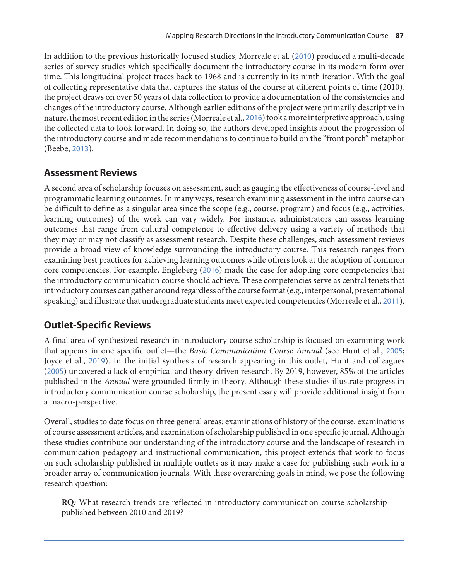In addition to the previous historically focused studies, Morreale et al. ([2010](#page-10-0)) produced a multi-decade series of survey studies which specifically document the introductory course in its modern form over time. This longitudinal project traces back to 1968 and is currently in its ninth iteration. With the goal of collecting representative data that captures the status of the course at different points of time (2010), the project draws on over 50 years of data collection to provide a documentation of the consistencies and changes of the introductory course. Although earlier editions of the project were primarily descriptive in nature, the most recent edition in the series (Morreale et al., [2016](#page-10-0)) took a more interpretive approach, using the collected data to look forward. In doing so, the authors developed insights about the progression of the introductory course and made recommendations to continue to build on the "front porch" metaphor (Beebe, [2013](#page-9-0)).

#### **Assessment Reviews**

A second area of scholarship focuses on assessment, such as gauging the effectiveness of course-level and programmatic learning outcomes. In many ways, research examining assessment in the intro course can be difficult to define as a singular area since the scope (e.g., course, program) and focus (e.g., activities, learning outcomes) of the work can vary widely. For instance, administrators can assess learning outcomes that range from cultural competence to effective delivery using a variety of methods that they may or may not classify as assessment research. Despite these challenges, such assessment reviews provide a broad view of knowledge surrounding the introductory course. This research ranges from examining best practices for achieving learning outcomes while others look at the adoption of common core competencies. For example, Engleberg ([2016](#page-9-0)) made the case for adopting core competencies that the introductory communication course should achieve. These competencies serve as central tenets that introductory courses can gather around regardless of the course format (e.g., interpersonal, presentational speaking) and illustrate that undergraduate students meet expected competencies (Morreale et al., [2011](#page-10-0)).

### **Outlet-Specific Reviews**

A final area of synthesized research in introductory course scholarship is focused on examining work that appears in one specific outlet—the *Basic Communication Course Annual* (see Hunt et al., [2005](#page-9-0); Joyce et al., [2019](#page-9-0)). In the initial synthesis of research appearing in this outlet, Hunt and colleagues ([2005](#page-9-0)) uncovered a lack of empirical and theory-driven research. By 2019, however, 85% of the articles published in the *Annual* were grounded firmly in theory. Although these studies illustrate progress in introductory communication course scholarship, the present essay will provide additional insight from a macro-perspective.

Overall, studies to date focus on three general areas: examinations of history of the course, examinations of course assessment articles, and examination of scholarship published in one specific journal. Although these studies contribute our understanding of the introductory course and the landscape of research in communication pedagogy and instructional communication, this project extends that work to focus on such scholarship published in multiple outlets as it may make a case for publishing such work in a broader array of communication journals. With these overarching goals in mind, we pose the following research question:

**RQ***:* What research trends are reflected in introductory communication course scholarship published between 2010 and 2019?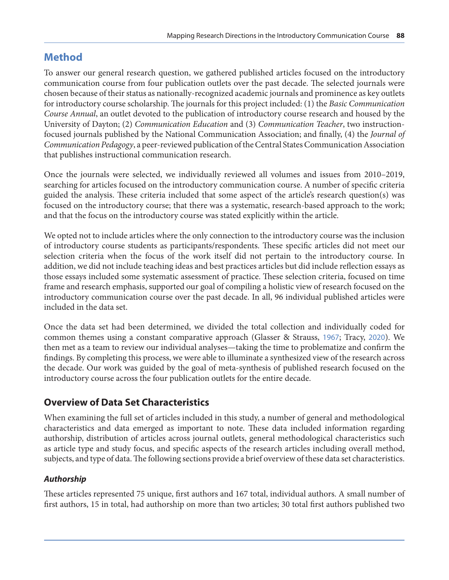## **Method**

To answer our general research question, we gathered published articles focused on the introductory communication course from four publication outlets over the past decade. The selected journals were chosen because of their status as nationally-recognized academic journals and prominence as key outlets for introductory course scholarship. The journals for this project included: (1) the *Basic Communication Course Annual*, an outlet devoted to the publication of introductory course research and housed by the University of Dayton; (2) *Communication Education* and (3) *Communication Teacher*, two instructionfocused journals published by the National Communication Association; and finally, (4) the *Journal of Communication Pedagogy*, a peer-reviewed publication of the Central States Communication Association that publishes instructional communication research.

Once the journals were selected, we individually reviewed all volumes and issues from 2010–2019, searching for articles focused on the introductory communication course. A number of specific criteria guided the analysis. These criteria included that some aspect of the article's research question(s) was focused on the introductory course; that there was a systematic, research-based approach to the work; and that the focus on the introductory course was stated explicitly within the article.

We opted not to include articles where the only connection to the introductory course was the inclusion of introductory course students as participants/respondents. These specific articles did not meet our selection criteria when the focus of the work itself did not pertain to the introductory course. In addition, we did not include teaching ideas and best practices articles but did include reflection essays as those essays included some systematic assessment of practice. These selection criteria, focused on time frame and research emphasis, supported our goal of compiling a holistic view of research focused on the introductory communication course over the past decade. In all, 96 individual published articles were included in the data set.

Once the data set had been determined, we divided the total collection and individually coded for common themes using a constant comparative approach (Glasser & Strauss, [1967](#page-9-0); Tracy, [2020](#page-10-0)). We then met as a team to review our individual analyses—taking the time to problematize and confirm the findings. By completing this process, we were able to illuminate a synthesized view of the research across the decade. Our work was guided by the goal of meta-synthesis of published research focused on the introductory course across the four publication outlets for the entire decade.

### **Overview of Data Set Characteristics**

When examining the full set of articles included in this study, a number of general and methodological characteristics and data emerged as important to note. These data included information regarding authorship, distribution of articles across journal outlets, general methodological characteristics such as article type and study focus, and specific aspects of the research articles including overall method, subjects, and type of data. The following sections provide a brief overview of these data set characteristics.

#### *Authorship*

These articles represented 75 unique, first authors and 167 total, individual authors. A small number of first authors, 15 in total, had authorship on more than two articles; 30 total first authors published two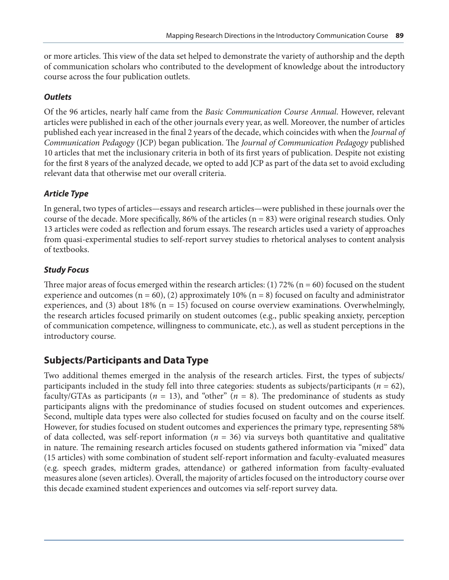or more articles. This view of the data set helped to demonstrate the variety of authorship and the depth of communication scholars who contributed to the development of knowledge about the introductory course across the four publication outlets.

#### *Outlets*

Of the 96 articles, nearly half came from the *Basic Communication Course Annual*. However, relevant articles were published in each of the other journals every year, as well. Moreover, the number of articles published each year increased in the final 2 years of the decade, which coincides with when the *Journal of Communication Pedagogy* (JCP) began publication. The *Journal of Communication Pedagogy* published 10 articles that met the inclusionary criteria in both of its first years of publication. Despite not existing for the first 8 years of the analyzed decade, we opted to add JCP as part of the data set to avoid excluding relevant data that otherwise met our overall criteria.

#### *Article Type*

In general, two types of articles—essays and research articles—were published in these journals over the course of the decade. More specifically, 86% of the articles  $(n = 83)$  were original research studies. Only 13 articles were coded as reflection and forum essays. The research articles used a variety of approaches from quasi-experimental studies to self-report survey studies to rhetorical analyses to content analysis of textbooks.

#### *Study Focus*

Three major areas of focus emerged within the research articles: (1) 72% ( $n = 60$ ) focused on the student experience and outcomes ( $n = 60$ ), (2) approximately 10% ( $n = 8$ ) focused on faculty and administrator experiences, and (3) about 18% ( $n = 15$ ) focused on course overview examinations. Overwhelmingly, the research articles focused primarily on student outcomes (e.g., public speaking anxiety, perception of communication competence, willingness to communicate, etc.), as well as student perceptions in the introductory course.

### **Subjects/Participants and Data Type**

Two additional themes emerged in the analysis of the research articles. First, the types of subjects/ participants included in the study fell into three categories: students as subjects/participants (*n* = 62), faculty/GTAs as participants ( $n = 13$ ), and "other" ( $n = 8$ ). The predominance of students as study participants aligns with the predominance of studies focused on student outcomes and experiences. Second, multiple data types were also collected for studies focused on faculty and on the course itself. However, for studies focused on student outcomes and experiences the primary type, representing 58% of data collected, was self-report information (*n* = 36) via surveys both quantitative and qualitative in nature. The remaining research articles focused on students gathered information via "mixed" data (15 articles) with some combination of student self-report information and faculty-evaluated measures (e.g. speech grades, midterm grades, attendance) or gathered information from faculty-evaluated measures alone (seven articles). Overall, the majority of articles focused on the introductory course over this decade examined student experiences and outcomes via self-report survey data.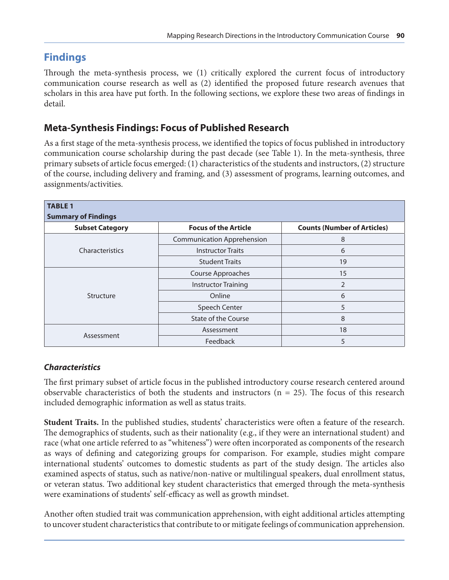## **Findings**

Through the meta-synthesis process, we (1) critically explored the current focus of introductory communication course research as well as (2) identified the proposed future research avenues that scholars in this area have put forth. In the following sections, we explore these two areas of findings in detail.

### **Meta-Synthesis Findings: Focus of Published Research**

As a first stage of the meta-synthesis process, we identified the topics of focus published in introductory communication course scholarship during the past decade (see Table 1). In the meta-synthesis, three primary subsets of article focus emerged: (1) characteristics of the students and instructors, (2) structure of the course, including delivery and framing, and (3) assessment of programs, learning outcomes, and assignments/activities.

| <b>TABLE 1</b><br><b>Summary of Findings</b> |                                   |                                    |
|----------------------------------------------|-----------------------------------|------------------------------------|
| <b>Subset Category</b>                       | <b>Focus of the Article</b>       | <b>Counts (Number of Articles)</b> |
| Characteristics                              | <b>Communication Apprehension</b> | 8                                  |
|                                              | <b>Instructor Traits</b>          | 6                                  |
|                                              | <b>Student Traits</b>             | 19                                 |
| Structure                                    | Course Approaches                 | 15                                 |
|                                              | <b>Instructor Training</b>        | $\overline{2}$                     |
|                                              | Online                            | 6                                  |
|                                              | Speech Center                     | 5                                  |
|                                              | <b>State of the Course</b>        | 8                                  |
| Assessment                                   | Assessment                        | 18                                 |
|                                              | Feedback                          | 5                                  |

#### *Characteristics*

The first primary subset of article focus in the published introductory course research centered around observable characteristics of both the students and instructors ( $n = 25$ ). The focus of this research included demographic information as well as status traits.

**Student Traits.** In the published studies, students' characteristics were often a feature of the research. The demographics of students, such as their nationality (e.g., if they were an international student) and race (what one article referred to as "whiteness") were often incorporated as components of the research as ways of defining and categorizing groups for comparison. For example, studies might compare international students' outcomes to domestic students as part of the study design. The articles also examined aspects of status, such as native/non-native or multilingual speakers, dual enrollment status, or veteran status. Two additional key student characteristics that emerged through the meta-synthesis were examinations of students' self-efficacy as well as growth mindset.

Another often studied trait was communication apprehension, with eight additional articles attempting to uncover student characteristics that contribute to or mitigate feelings of communication apprehension.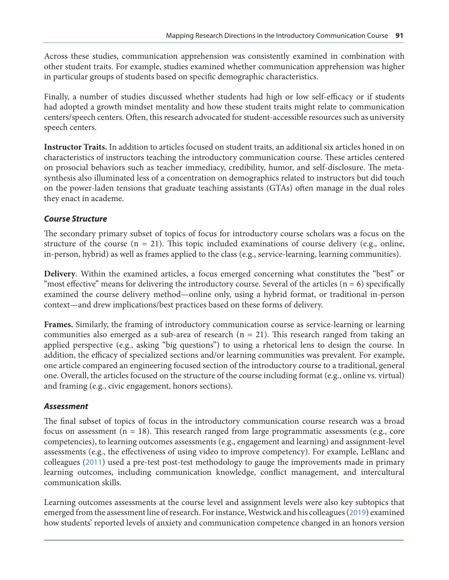Across these studies, communication apprehension was consistently examined in combination with other student traits. For example, studies examined whether communication apprehension was higher in particular groups of students based on specific demographic characteristics.

Finally, a number of studies discussed whether students had high or low self-efficacy or if students had adopted a growth mindset mentality and how these student traits might relate to communication centers/speech centers. Often, this research advocated for student-accessible resources such as university speech centers.

**Instructor Traits.** In addition to articles focused on student traits, an additional six articles honed in on characteristics of instructors teaching the introductory communication course. These articles centered on prosocial behaviors such as teacher immediacy, credibility, humor, and self-disclosure. The metasynthesis also illuminated less of a concentration on demographics related to instructors but did touch on the power-laden tensions that graduate teaching assistants (GTAs) often manage in the dual roles they enact in academe.

#### *Course Structure*

The secondary primary subset of topics of focus for introductory course scholars was a focus on the structure of the course  $(n = 21)$ . This topic included examinations of course delivery (e.g., online, in-person, hybrid) as well as frames applied to the class (e.g., service-learning, learning communities).

**Delivery**. Within the examined articles, a focus emerged concerning what constitutes the "best" or "most effective" means for delivering the introductory course. Several of the articles  $(n = 6)$  specifically examined the course delivery method—online only, using a hybrid format, or traditional in-person context—and drew implications/best practices based on these forms of delivery.

**Frames.** Similarly, the framing of introductory communication course as service-learning or learning communities also emerged as a sub-area of research  $(n = 21)$ . This research ranged from taking an applied perspective (e.g., asking "big questions") to using a rhetorical lens to design the course. In addition, the efficacy of specialized sections and/or learning communities was prevalent. For example, one article compared an engineering focused section of the introductory course to a traditional, general one. Overall, the articles focused on the structure of the course including format (e.g., online vs. virtual) and framing (e.g., civic engagement, honors sections).

#### *Assessment*

The final subset of topics of focus in the introductory communication course research was a broad focus on assessment ( $n = 18$ ). This research ranged from large programmatic assessments (e.g., core competencies), to learning outcomes assessments (e.g., engagement and learning) and assignment-level assessments (e.g., the effectiveness of using video to improve competency). For example, LeBlanc and colleagues ([2011](#page-9-0)) used a pre-test post-test methodology to gauge the improvements made in primary learning outcomes, including communication knowledge, conflict management, and intercultural communication skills.

Learning outcomes assessments at the course level and assignment levels were also key subtopics that emerged from the assessment line of research. For instance, Westwick and his colleagues ([2019](#page-10-0)) examined how students' reported levels of anxiety and communication competence changed in an honors version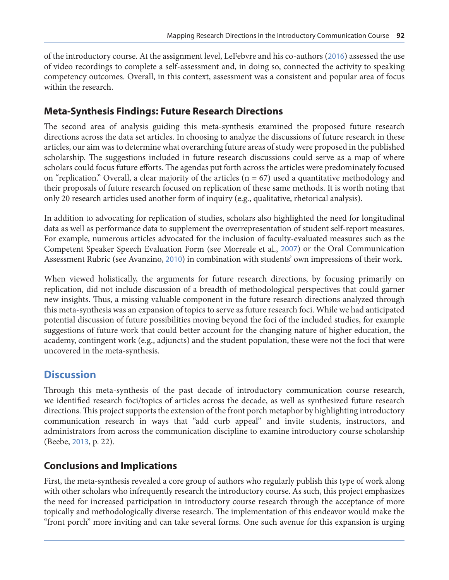of the introductory course. At the assignment level, LeFebvre and his co-authors ([2016](#page-9-0)) assessed the use of video recordings to complete a self-assessment and, in doing so, connected the activity to speaking competency outcomes. Overall, in this context, assessment was a consistent and popular area of focus within the research.

### **Meta-Synthesis Findings: Future Research Directions**

The second area of analysis guiding this meta-synthesis examined the proposed future research directions across the data set articles. In choosing to analyze the discussions of future research in these articles, our aim was to determine what overarching future areas of study were proposed in the published scholarship. The suggestions included in future research discussions could serve as a map of where scholars could focus future efforts. The agendas put forth across the articles were predominately focused on "replication." Overall, a clear majority of the articles  $(n = 67)$  used a quantitative methodology and their proposals of future research focused on replication of these same methods. It is worth noting that only 20 research articles used another form of inquiry (e.g., qualitative, rhetorical analysis).

In addition to advocating for replication of studies, scholars also highlighted the need for longitudinal data as well as performance data to supplement the overrepresentation of student self-report measures. For example, numerous articles advocated for the inclusion of faculty-evaluated measures such as the Competent Speaker Speech Evaluation Form (see Morreale et al., [2007](#page-10-0)) or the Oral Communication Assessment Rubric (see Avanzino, [2010](#page-9-0)) in combination with students' own impressions of their work.

When viewed holistically, the arguments for future research directions, by focusing primarily on replication, did not include discussion of a breadth of methodological perspectives that could garner new insights. Thus, a missing valuable component in the future research directions analyzed through this meta-synthesis was an expansion of topics to serve as future research foci. While we had anticipated potential discussion of future possibilities moving beyond the foci of the included studies, for example suggestions of future work that could better account for the changing nature of higher education, the academy, contingent work (e.g., adjuncts) and the student population, these were not the foci that were uncovered in the meta-synthesis.

## **Discussion**

Through this meta-synthesis of the past decade of introductory communication course research, we identified research foci/topics of articles across the decade, as well as synthesized future research directions. This project supports the extension of the front porch metaphor by highlighting introductory communication research in ways that "add curb appeal" and invite students, instructors, and administrators from across the communication discipline to examine introductory course scholarship (Beebe, [2013](#page-9-0), p. 22).

### **Conclusions and Implications**

First, the meta-synthesis revealed a core group of authors who regularly publish this type of work along with other scholars who infrequently research the introductory course. As such, this project emphasizes the need for increased participation in introductory course research through the acceptance of more topically and methodologically diverse research. The implementation of this endeavor would make the "front porch" more inviting and can take several forms. One such avenue for this expansion is urging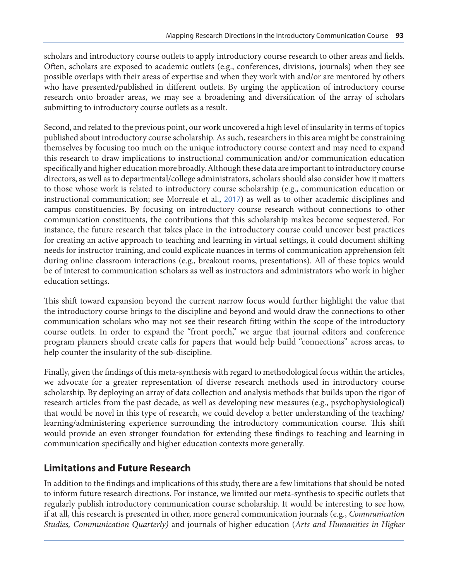scholars and introductory course outlets to apply introductory course research to other areas and fields. Often, scholars are exposed to academic outlets (e.g., conferences, divisions, journals) when they see possible overlaps with their areas of expertise and when they work with and/or are mentored by others who have presented/published in different outlets. By urging the application of introductory course research onto broader areas, we may see a broadening and diversification of the array of scholars submitting to introductory course outlets as a result.

Second, and related to the previous point, our work uncovered a high level of insularity in terms of topics published about introductory course scholarship. As such, researchers in this area might be constraining themselves by focusing too much on the unique introductory course context and may need to expand this research to draw implications to instructional communication and/or communication education specifically and higher education more broadly. Although these data are important to introductory course directors, as well as to departmental/college administrators, scholars should also consider how it matters to those whose work is related to introductory course scholarship (e.g., communication education or instructional communication; see Morreale et al., [2017](#page-10-0)) as well as to other academic disciplines and campus constituencies. By focusing on introductory course research without connections to other communication constituents, the contributions that this scholarship makes become sequestered. For instance, the future research that takes place in the introductory course could uncover best practices for creating an active approach to teaching and learning in virtual settings, it could document shifting needs for instructor training, and could explicate nuances in terms of communication apprehension felt during online classroom interactions (e.g., breakout rooms, presentations). All of these topics would be of interest to communication scholars as well as instructors and administrators who work in higher education settings.

This shift toward expansion beyond the current narrow focus would further highlight the value that the introductory course brings to the discipline and beyond and would draw the connections to other communication scholars who may not see their research fitting within the scope of the introductory course outlets. In order to expand the "front porch," we argue that journal editors and conference program planners should create calls for papers that would help build "connections" across areas, to help counter the insularity of the sub-discipline.

Finally, given the findings of this meta-synthesis with regard to methodological focus within the articles, we advocate for a greater representation of diverse research methods used in introductory course scholarship. By deploying an array of data collection and analysis methods that builds upon the rigor of research articles from the past decade, as well as developing new measures (e.g., psychophysiological) that would be novel in this type of research, we could develop a better understanding of the teaching/ learning/administering experience surrounding the introductory communication course. This shift would provide an even stronger foundation for extending these findings to teaching and learning in communication specifically and higher education contexts more generally.

### **Limitations and Future Research**

In addition to the findings and implications of this study, there are a few limitations that should be noted to inform future research directions. For instance, we limited our meta-synthesis to specific outlets that regularly publish introductory communication course scholarship. It would be interesting to see how, if at all, this research is presented in other, more general communication journals (e.g., *Communication Studies, Communication Quarterly)* and journals of higher education (*Arts and Humanities in Higher*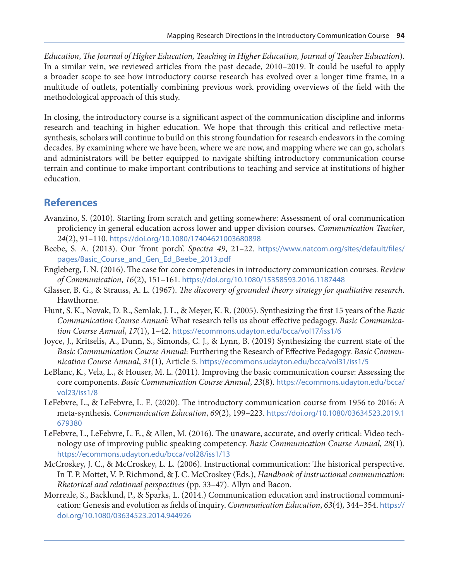<span id="page-9-0"></span>*Education*, *The Journal of Higher Education, Teaching in Higher Education, Journal of Teacher Education*). In a similar vein, we reviewed articles from the past decade, 2010–2019. It could be useful to apply a broader scope to see how introductory course research has evolved over a longer time frame, in a multitude of outlets, potentially combining previous work providing overviews of the field with the methodological approach of this study.

In closing, the introductory course is a significant aspect of the communication discipline and informs research and teaching in higher education. We hope that through this critical and reflective metasynthesis, scholars will continue to build on this strong foundation for research endeavors in the coming decades. By examining where we have been, where we are now, and mapping where we can go, scholars and administrators will be better equipped to navigate shifting introductory communication course terrain and continue to make important contributions to teaching and service at institutions of higher education.

## **References**

- Avanzino, S. (2010). Starting from scratch and getting somewhere: Assessment of oral communication proficiency in general education across lower and upper division courses. *Communication Teacher*, *24*(2), 91–110. <https://doi.org/10.1080/17404621003680898>
- Beebe, S. A. (2013). Our 'front porch'. *Spectra 49*, 21–22. [https://www.natcom.org/sites/default/files/](https://www.natcom.org/sites/default/files/pages/Basic_Course_and_Gen_Ed_Beebe_2013.pdf) [pages/Basic\\_Course\\_and\\_Gen\\_Ed\\_Beebe\\_2013.pdf](https://www.natcom.org/sites/default/files/pages/Basic_Course_and_Gen_Ed_Beebe_2013.pdf)
- Engleberg, I. N. (2016). The case for core competencies in introductory communication courses. *Review of Communication*, *16*(2), 151–161. <https://doi.org/10.1080/15358593.2016.1187448>
- Glasser, B. G., & Strauss, A. L. (1967). *The discovery of grounded theory strategy for qualitative research*. Hawthorne.
- Hunt, S. K., Novak, D. R., Semlak, J. L., & Meyer, K. R. (2005). Synthesizing the first 15 years of the *Basic Communication Course Annual*: What research tells us about effective pedagogy. *Basic Communication Course Annual*, *17*(1), 1–42. <https://ecommons.udayton.edu/bcca/vol17/iss1/6>
- Joyce, J., Kritselis, A., Dunn, S., Simonds, C. J., & Lynn, B. (2019) Synthesizing the current state of the *Basic Communication Course Annual*: Furthering the Research of Effective Pedagogy. *Basic Communication Course Annual*, *31*(1), Article 5. <https://ecommons.udayton.edu/bcca/vol31/iss1/5>
- LeBlanc, K., Vela, L., & Houser, M. L. (2011). Improving the basic communication course: Assessing the core components. *Basic Communication Course Annual*, *23*(8). [https://ecommons.udayton.edu/bcca/](https://ecommons.udayton.edu/bcca/vol23/iss1/8) [vol23/iss1/8](https://ecommons.udayton.edu/bcca/vol23/iss1/8)
- LeFebvre, L., & LeFebvre, L. E. (2020). The introductory communication course from 1956 to 2016: A meta-synthesis. *Communication Education*, *69*(2), 199–223. [https://doi.org/10.1080/03634523.2019.1](https://doi.org/10.1080/03634523.2019.1679380) [679380](https://doi.org/10.1080/03634523.2019.1679380)
- LeFebvre, L., LeFebvre, L. E., & Allen, M. (2016). The unaware, accurate, and overly critical: Video technology use of improving public speaking competency. *Basic Communication Course Annual*, *28*(1). <https://ecommons.udayton.edu/bcca/vol28/iss1/13>
- McCroskey, J. C., & McCroskey, L. L. (2006). Instructional communication: The historical perspective. In T. P. Mottet, V. P. Richmond, & J. C. McCroskey (Eds.), *Handbook of instructional communication: Rhetorical and relational perspectives* (pp. 33–47). Allyn and Bacon.
- Morreale, S., Backlund, P., & Sparks, L. (2014.) Communication education and instructional communication: Genesis and evolution as fields of inquiry. *Communication Education*, *63*(4)*,* 344–354. [https://](https://doi.org/10.1080/03634523.2014.944926) [doi.org/10.1080/03634523.2014.944926](https://doi.org/10.1080/03634523.2014.944926)